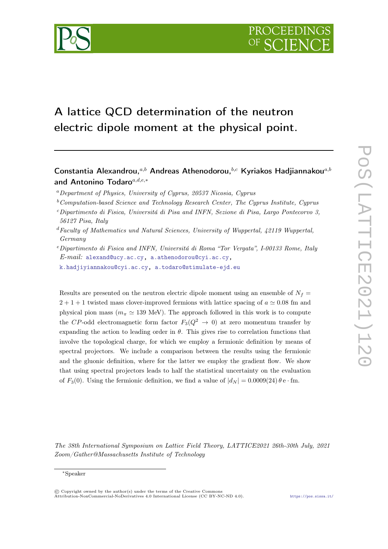# A lattice QCD determination of the neutron electric dipole moment at the physical point.

## Constantia Alexandrou,  $a,b$  Andreas Athenodorou,  $b,c$  Kyriakos Hadjiannakou $a,b$ and Antonino Todaro $a,d,e,*$

- ${}^a$ Department of Physics, University of Cyprus, 20537 Nicosia, Cyprus
- $b$ Computation-based Science and Technology Research Center, The Cyprus Institute, Cyprus
- <sup>c</sup>Dipartimento di Fisica, Universitá di Pisa and INFN, Sezione di Pisa, Largo Pontecorvo 3, 56127 Pisa, Italy
- $d$ Faculty of Mathematics und Natural Sciences, University of Wuppertal,  $42119$  Wuppertal, Germany
- $e$ Dipartimento di Fisica and INFN, Universitá di Roma "Tor Vergata", I-00133 Rome, Italy  $E$ -mail: [alexand@ucy.ac.cy,](mailto:alexand@ucy.ac.cy) [a.athenodorou@cyi.ac.cy,](mailto:a.athenodorou@cyi.ac.cy)

[k.hadjiyiannakou@cyi.ac.cy,](mailto:k.hadjiyiannakou@cyi.ac.cy) [a.todaro@stimulate-ejd.eu](mailto:a.todaro@stimulate-ejd.eu)

Results are presented on the neutron electric dipole moment using an ensemble of  $N_f$  $2 + 1 + 1$  twisted mass clover-improved fermions with lattice spacing of  $a \approx 0.08$  fm and physical pion mass ( $m_{\pi} \simeq 139$  MeV). The approach followed in this work is to compute the CP-odd electromagnetic form factor  $F_3(Q^2 \rightarrow 0)$  at zero momentum transfer by expanding the action to leading order in  $\theta$ . This gives rise to correlation functions that involve the topological charge, for which we employ a fermionic definition by means of spectral projectors. We include a comparison between the results using the fermionic and the gluonic definition, where for the latter we employ the gradient flow. We show that using spectral projectors leads to half the statistical uncertainty on the evaluation of  $F_3(0)$ . Using the fermionic definition, we find a value of  $|d_N| = 0.0009(24) \theta$  e·fm.

The 38th International Symposium on Lattice Field Theory, LATTICE2021 26th-30th July, 2021 Zoom/Gather@Massachusetts Institute of Technology

<sup>∗</sup>Speaker

<sup>©</sup> Copyright owned by the author(s) under the terms of the Creative Commons Attribution-NonCommercial-NoDerivatives 4.0 International License (CC BY-NC-ND 4.0). <https://pos.sissa.it/>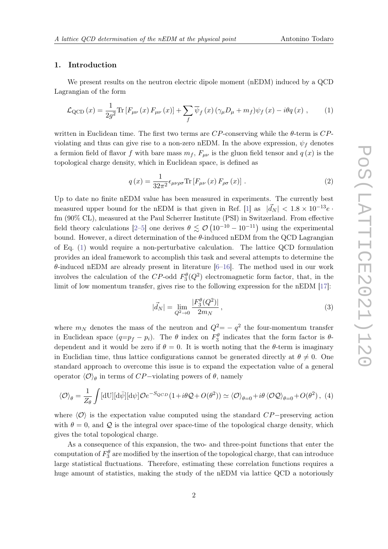#### 1. Introduction

We present results on the neutron electric dipole moment (nEDM) induced by a QCD Lagrangian of the form

<span id="page-1-0"></span>
$$
\mathcal{L}_{\text{QCD}}\left(x\right) = \frac{1}{2g^2} \text{Tr}\left[F_{\mu\nu}\left(x\right)F_{\mu\nu}\left(x\right)\right] + \sum_f \overline{\psi}_f\left(x\right)\left(\gamma_\mu D_\mu + m_f\right)\psi_f\left(x\right) - i\theta q\left(x\right) \,,\tag{1}
$$

written in Euclidean time. The first two terms are  $CP$ -conserving while the  $\theta$ -term is  $CP$ violating and thus can give rise to a non-zero nEDM. In the above expression,  $\psi_f$  denotes a fermion field of flavor f with bare mass  $m_f$ ,  $F_{\mu\nu}$  is the gluon field tensor and  $q(x)$  is the topological charge density, which in Euclidean space, is defined as

<span id="page-1-2"></span>
$$
q\left(x\right) = \frac{1}{32\pi^{2}} \epsilon_{\mu\nu\rho\sigma} \text{Tr}\left[F_{\mu\nu}\left(x\right) F_{\rho\sigma}\left(x\right)\right]. \tag{2}
$$

Up to date no finite nEDM value has been measured in experiments. The currently best measured upper bound for the nEDM is that given in Ref. [\[1\]](#page-9-0) as  $|\vec{d}_N| < 1.8 \times 10^{-13} e$ . fm (90% CL), measured at the Paul Scherrer Institute (PSI) in Switzerland. From effective field theory calculations [\[2–](#page-9-1)[5\]](#page-10-0) one derives  $\theta \lesssim \mathcal{O}(10^{-10} - 10^{-11})$  using the experimental bound. However, a direct determination of the  $\theta$ -induced nEDM from the QCD Lagrangian of Eq. [\(1\)](#page-1-0) would require a non-perturbative calculation. The lattice QCD formulation provides an ideal framework to accomplish this task and several attempts to determine the  $\theta$ -induced nEDM are already present in literature [\[6–](#page-10-1)[16\]](#page-10-2). The method used in our work involves the calculation of the CP-odd  $F_3^{\theta}(Q^2)$  electromagnetic form factor, that, in the limit of low momentum transfer, gives rise to the following expression for the nEDM [\[17\]](#page-11-0):

$$
|\vec{d}_N| = \lim_{Q^2 \to 0} \frac{|F_3^{\theta}(Q^2)|}{2m_N},
$$
\n(3)

where  $m_N$  denotes the mass of the neutron and  $Q^2 = -q^2$  the four-momentum transfer in Euclidean space  $(q=p_f-p_i)$ . The  $\theta$  index on  $F_3^{\theta}$  indicates that the form factor is  $\theta$ dependent and it would be zero if  $\theta = 0$ . It is worth noting that the  $\theta$ -term is imaginary in Euclidian time, thus lattice configurations cannot be generated directly at  $\theta \neq 0$ . One standard approach to overcome this issue is to expand the expectation value of a general operator  $\langle \mathcal{O} \rangle_{\theta}$  in terms of  $CP-$ violating powers of  $\theta$ , namely

<span id="page-1-1"></span>
$$
\langle \mathcal{O} \rangle_{\theta} = \frac{1}{Z_{\theta}} \int [\mathrm{d}U] [\mathrm{d}\bar{\psi}] [\mathrm{d}\psi] \mathcal{O}e^{-S_{QCD}} (1 + i\theta \mathcal{Q} + O(\theta^2)) \simeq \langle \mathcal{O} \rangle_{\theta=0} + i\theta \langle \mathcal{O} \mathcal{Q} \rangle_{\theta=0} + O(\theta^2), \tag{4}
$$

where  $\langle \mathcal{O} \rangle$  is the expectation value computed using the standard  $CP$ −preserving action with  $\theta = 0$ , and Q is the integral over space-time of the topological charge density, which gives the total topological charge.

As a consequence of this expansion, the two- and three-point functions that enter the computation of  $F_3^{\theta}$  are modified by the insertion of the topological charge, that can introduce large statistical fluctuations. Therefore, estimating these correlation functions requires a huge amount of statistics, making the study of the nEDM via lattice QCD a notoriously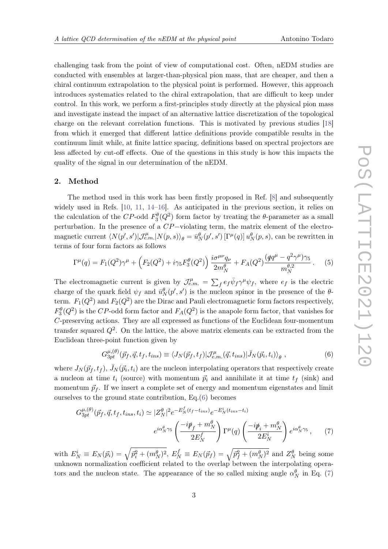challenging task from the point of view of computational cost. Often, nEDM studies are conducted with ensembles at larger-than-physical pion mass, that are cheaper, and then a chiral continuum extrapolation to the physical point is performed. However, this approach introduces systematics related to the chiral extrapolation, that are difficult to keep under control. In this work, we perform a first-principles study directly at the physical pion mass and investigate instead the impact of an alternative lattice discretization of the topological charge on the relevant correlation functions. This is motivated by previous studies [\[18\]](#page-11-1) from which it emerged that different lattice definitions provide compatible results in the continuum limit while, at finite lattice spacing, definitions based on spectral projectors are less affected by cut-off effects. One of the questions in this study is how this impacts the quality of the signal in our determination of the nEDM.

#### 2. Method

The method used in this work has been firstly proposed in Ref. [\[8\]](#page-10-3) and subsequently widely used in Refs. [\[10,](#page-10-4) [11,](#page-10-5) [14](#page-10-6)[–16\]](#page-10-2). As anticipated in the previous section, it relies on the calculation of the CP-odd  $F_3^{\theta}(Q^2)$  form factor by treating the  $\theta$ -parameter as a small perturbation. In the presence of a CP−violating term, the matrix element of the electromagnetic current  $\langle N(p', s') | \mathcal{J}_{e,m}^{\mu} | N(p, s) \rangle_{\theta} = \bar{u}_N^{\theta}(p', s') [\Gamma^{\mu}(q)] u_N^{\theta}(p, s)$ , can be rewritten in terms of four form factors as follows

$$
\Gamma^{\mu}(q) = F_1(Q^2)\gamma^{\mu} + \left(F_2(Q^2) + i\gamma_5 F_3^{\theta}(Q^2)\right) \frac{i\sigma^{\mu\nu}q_{\nu}}{2m_N^{\theta}} + F_A(Q^2) \frac{(qq^{\mu} - q^2\gamma^{\mu})\gamma_5}{m_N^{\theta,2}}.
$$
 (5)

The electromagnetic current is given by  $\mathcal{J}_{e.m.}^{\mu} = \sum_{f} e_f \bar{\psi}_f \gamma^{\mu} \psi_f$ , where  $e_f$  is the electric charge of the quark field  $\psi_f$  and  $\bar{u}^{\theta}_{N}(p',s')$  is the nucleon spinor in the presence of the  $\theta$ term.  $F_1(Q^2)$  and  $F_2(Q^2)$  are the Dirac and Pauli electromagnetic form factors respectively,  $F_3^{\theta}(Q^2)$  is the CP-odd form factor and  $F_A(Q^2)$  is the anapole form factor, that vanishes for C-preserving actions. They are all expressed as functions of the Euclidean four-momentum transfer squared  $Q^2$ . On the lattice, the above matrix elements can be extracted from the Euclidean three-point function given by

<span id="page-2-1"></span><span id="page-2-0"></span>
$$
G_{3pt}^{\mu,(\theta)}(\vec{p}_f, \vec{q}, t_f, t_{ins}) \equiv \langle J_N(\vec{p}_f, t_f) | \mathcal{J}_{e.m.}^{\mu}(\vec{q}, t_{ins}) | \bar{J}_N(\vec{p}_i, t_i) \rangle_{\theta} , \qquad (6)
$$

where  $J_N(\vec{p}_f, t_f)$ ,  $\bar{J}_N(\vec{p}_i, t_i)$  are the nucleon interpolating operators that respectively create a nucleon at time  $t_i$  (source) with momentum  $\vec{p}_i$  and annihilate it at time  $t_f$  (sink) and momentum  $\vec{p}_f$ . If we insert a complete set of energy and momentum eigenstates and limit ourselves to the ground state contribution, Eq.[\(6\)](#page-2-0) becomes

$$
G_{3pt}^{\mu,(\theta)}(\vec{p}_f, \vec{q}, t_f, t_{ins}, t_i) \simeq |Z_N^{\theta}|^2 e^{-E_N^f(t_f - t_{ins})} e^{-E_N^i(t_{ins} - t_i)}
$$

$$
e^{i\alpha_N^{\theta}\gamma_5} \left(\frac{-i\rlap/v_f + m_N^{\theta}}{2E_N^f}\right) \Gamma^{\mu}(q) \left(\frac{-i\rlap/v_f + m_N^{\theta}}{2E_N^i}\right) e^{i\alpha_N^{\theta}\gamma_5},\tag{7}
$$

with  $E_N^i \equiv E_N(\vec{p}_i) = \sqrt{\vec{p}_i^2 + (m_N^{\theta})^2}$ ,  $E_N^f \equiv E_N(\vec{p}_f) = \sqrt{\vec{p}_f^2 + (m_N^{\theta})^2}$  and  $Z_N^{\theta}$  being some unknown normalization coefficient related to the overlap between the interpolating operators and the nucleon state. The appearance of the so called mixing angle  $\alpha_N^{\theta}$  in Eq. [\(7\)](#page-2-1)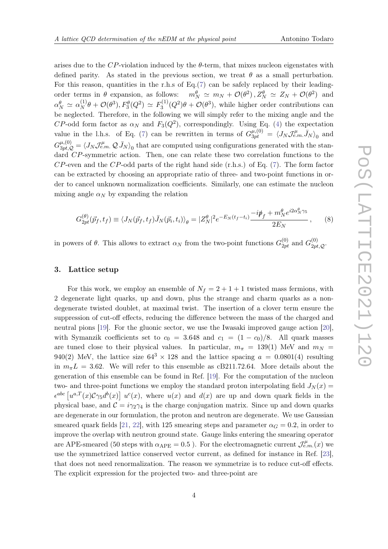arises due to the CP-violation induced by the  $\theta$ -term, that mixes nucleon eigenstates with defined parity. As stated in the previous section, we treat  $\theta$  as a small perturbation. For this reason, quantities in the r.h.s of Eq.[\(7\)](#page-2-1) can be safely replaced by their leadingorder terms in  $\theta$  expansion, as follows:  $m_N^{\theta} \simeq m_N + \mathcal{O}(\theta^2), Z_N^{\theta} \simeq Z_N + \mathcal{O}(\theta^2)$  and  $\alpha_N^{\theta} \simeq \alpha_N^{(1)}$  $S_N^{(1)}\theta + \mathcal{O}(\theta^3), F_3^{\theta}(Q^2) \simeq F_3^{(1)}$  $S_3^{(1)}(Q^2)\theta + \mathcal{O}(\theta^3)$ , while higher order contributions can be neglected. Therefore, in the following we will simply refer to the mixing angle and the  $CP$ -odd form factor as  $\alpha_N$  and  $F_3(Q^2)$ , correspondingly. Using Eq. [\(4\)](#page-1-1) the expectation value in the l.h.s. of Eq. [\(7\)](#page-2-1) can be rewritten in terms of  $G_{3pt}^{\mu,(0)} = \langle J_N J_{e.m.}^{\mu} \bar{J}_N \rangle_0$  and  $G_{3pt,Q}^{\mu,(0)}=\langle J_N J_{e.m.}^\mu\, \mathcal{Q}\, \bar{J}_N\rangle_0$  that are computed using configurations generated with the standard CP-symmetric action. Then, one can relate these two correlation functions to the  $CP$ -even and the  $CP$ -odd parts of the right hand side (r.h.s.) of Eq. [\(7\)](#page-2-1). The form factor can be extracted by choosing an appropriate ratio of three- and two-point functions in order to cancel unknown normalization coefficients. Similarly, one can estimate the nucleon mixing angle  $\alpha_N$  by expanding the relation

$$
G_{2pt}^{(\theta)}(\vec{p}_f, t_f) \equiv \langle J_N(\vec{p}_f, t_f) \bar{J}_N(\vec{p}_i, t_i) \rangle_{\theta} = |Z_N^{\theta}|^2 e^{-E_N(t_f - t_i)} \frac{-i\rlap{\,/}p_f + m_N^{\theta} e^{i2\alpha_N^{\theta} \gamma_5}}{2E_N}, \qquad (8)
$$

in powers of  $\theta$ . This allows to extract  $\alpha_N$  from the two-point functions  $G_{2pt}^{(0)}$  and  $G_{2pt,Q}^{(0)}$ .

#### 3. Lattice setup

For this work, we employ an ensemble of  $N_f = 2 + 1 + 1$  twisted mass fermions, with 2 degenerate light quarks, up and down, plus the strange and charm quarks as a nondegenerate twisted doublet, at maximal twist. The insertion of a clover term ensure the suppression of cut-off effects, reducing the difference between the mass of the charged and neutral pions [\[19\]](#page-11-2). For the gluonic sector, we use the Iwasaki improved gauge action [\[20\]](#page-11-3), with Symanzik coefficients set to  $c_0 = 3.648$  and  $c_1 = (1 - c_0)/8$ . All quark masses are tuned close to their physical values. In particular,  $m_{\pi}$  = 139(1) MeV and  $m_N$  = 940(2) MeV, the lattice size  $64^3 \times 128$  and the lattice spacing  $a = 0.0801(4)$  resulting in  $m_{\pi}L = 3.62$ . We will refer to this ensemble as cB211.72.64. More details about the generation of this ensemble can be found in Ref. [\[19\]](#page-11-2). For the computation of the nucleon two- and three-point functions we employ the standard proton interpolating field  $J_N(x)$  =  $\epsilon^{abc} \left[ u^{a,T}(x) \mathcal{C} \gamma_5 d^b(x) \right] u^c(x)$ , where  $u(x)$  and  $d(x)$  are up and down quark fields in the physical base, and  $\mathcal{C} = i\gamma_2\gamma_4$  is the charge conjugation matrix. Since up and down quarks are degenerate in our formulation, the proton and neutron are degenerate. We use Gaussian smeared quark fields [\[21,](#page-11-4) [22\]](#page-11-5), with 125 smearing steps and parameter  $\alpha_G = 0.2$ , in order to improve the overlap with neutron ground state. Gauge links entering the smearing operator are APE-smeared (50 steps with  $\alpha_{\text{APE}} = 0.5$ ). For the electromagnetic current  $\mathcal{J}_{e.m.}^{\mu}(x)$  we use the symmetrized lattice conserved vector current, as defined for instance in Ref. [\[23\]](#page-11-6), that does not need renormalization. The reason we symmetrize is to reduce cut-off effects. The explicit expression for the projected two- and three-point are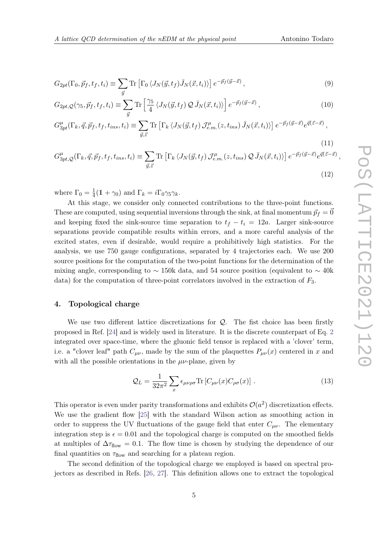<span id="page-4-2"></span>
$$
G_{2pt}(\Gamma_0, \vec{p}_f, t_f, t_i) \equiv \sum_{\vec{y}} \text{Tr} \left[ \Gamma_0 \langle J_N(\vec{y}, t_f) \bar{J}_N(\vec{x}, t_i) \rangle \right] e^{-\vec{p}_f(\vec{y} - \vec{x})}, \tag{9}
$$

<span id="page-4-1"></span>
$$
G_{2pt,Q}(\gamma_5, \vec{p}_f, t_f, t_i) \equiv \sum_{\vec{y}} \text{Tr} \left[ \frac{\gamma_5}{4} \left\langle J_N(\vec{y}, t_f) \mathcal{Q} \bar{J}_N(\vec{x}, t_i) \right\rangle \right] e^{-\vec{p}_f(\vec{y} - \vec{x})}, \tag{10}
$$

$$
G_{3pt}^{\mu}(\Gamma_k, \vec{q}, \vec{p}_f, t_f, t_{ins}, t_i) \equiv \sum_{\vec{y}, \vec{z}} \text{Tr} \left[ \Gamma_k \left\langle J_N(\vec{y}, t_f) \mathcal{J}_{e.m.}^{\mu}(z, t_{ins}) \bar{J}_N(\vec{x}, t_i) \right\rangle \right] e^{-\vec{p}_f(\vec{y} - \vec{x})} e^{\vec{q}(\vec{z} - \vec{x})}, \tag{11}
$$

<span id="page-4-3"></span>
$$
G_{3pt,Q}^{\mu}(\Gamma_k, \vec{q}, \vec{p}_f, t_f, t_{ins}, t_i) \equiv \sum_{\vec{y}, \vec{z}} \text{Tr} \left[ \Gamma_k \left\langle J_N(\vec{y}, t_f) \mathcal{J}_{e.m.}^{\mu}(z, t_{ins}) \mathcal{Q} \,\bar{J}_N(\vec{x}, t_i) \right\rangle \right] e^{-\vec{p}_f(\vec{y}-\vec{x})} e^{\vec{q}(\vec{z}-\vec{x})},\tag{12}
$$

where  $\Gamma_0 = \frac{1}{4}$  $\frac{1}{4}(\mathbb{1} + \gamma_0)$  and  $\Gamma_k = i\Gamma_0\gamma_5\gamma_k$ .

At this stage, we consider only connected contributions to the three-point functions. These are computed, using sequential inversions through the sink, at final momentum  $\vec{p}_f = \vec{0}$ and keeping fixed the sink-source time separation to  $t_f - t_i = 12a$ . Larger sink-source separations provide compatible results within errors, and a more careful analysis of the excited states, even if desirable, would require a prohibitively high statistics. For the analysis, we use 750 gauge configurations, separated by 4 trajectories each. We use 200 source positions for the computation of the two-point functions for the determination of the mixing angle, corresponding to  $\sim$  150k data, and 54 source position (equivalent to  $\sim$  40k data) for the computation of three-point correlators involved in the extraction of  $F_3$ .

#### 4. Topological charge

We use two different lattice discretizations for  $Q$ . The fist choice has been firstly proposed in Ref. [\[24\]](#page-11-7) and is widely used in literature. It is the discrete counterpart of Eq. [2](#page-1-2) integrated over space-time, where the gluonic field tensor is replaced with a 'clover' term, i.e. a "clover leaf" path  $C_{\mu\nu}$ , made by the sum of the plaquettes  $P_{\mu\nu}(x)$  centered in x and with all the possible orientations in the  $\mu\nu$ -plane, given by

<span id="page-4-0"></span>
$$
\mathcal{Q}_L = \frac{1}{32\pi^2} \sum_x \epsilon_{\mu\nu\rho\sigma} \text{Tr} \left[ C_{\mu\nu}(x) C_{\rho\sigma}(x) \right]. \tag{13}
$$

This operator is even under parity transformations and exhibits  $\mathcal{O}(a^2)$  discretization effects. We use the gradient flow [\[25\]](#page-11-8) with the standard Wilson action as smoothing action in order to suppress the UV fluctuations of the gauge field that enter  $C_{\mu\nu}$ . The elementary integration step is  $\epsilon = 0.01$  and the topological charge is computed on the smoothed fields at multiples of  $\Delta \tau_{flow} = 0.1$ . The flow time is chosen by studying the dependence of our final quantities on  $\tau_{flow}$  and searching for a plateau region.

The second definition of the topological charge we employed is based on spectral projectors as described in Refs. [\[26,](#page-11-9) [27\]](#page-11-10). This definition allows one to extract the topological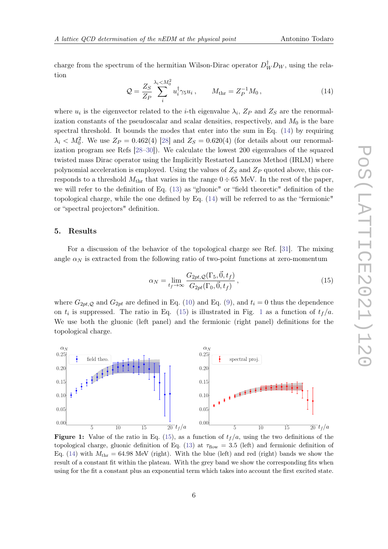<span id="page-5-0"></span>
$$
Q = \frac{Z_S}{Z_P} \sum_{i}^{\lambda_i < M_0^2} u_i^\dagger \gamma_5 u_i \,, \qquad M_{\text{thr}} = Z_P^{-1} M_0 \,, \tag{14}
$$

where  $u_i$  is the eigenvector related to the *i*-th eigenvalue  $\lambda_i$ ,  $Z_P$  and  $Z_S$  are the renormalization constants of the pseudoscalar and scalar densities, respectively, and  $M_0$  is the bare spectral threshold. It bounds the modes that enter into the sum in Eq. [\(14\)](#page-5-0) by requiring  $\lambda_i \langle M_0^2$ . We use  $Z_P = 0.462(4)$  [\[28\]](#page-11-11) and  $Z_S = 0.620(4)$  (for details about our renormalization program see Refs [\[28–](#page-11-11)[30\]](#page-11-12)). We calculate the lowest 200 eigenvalues of the squared twisted mass Dirac operator using the Implicitly Restarted Lanczos Method (IRLM) where polynomial acceleration is employed. Using the values of  $Z_S$  and  $Z_P$  quoted above, this corresponds to a threshold  $M_{\text{thr}}$  that varies in the range  $0 \div 65$  MeV. In the rest of the paper, we will refer to the definition of Eq. [\(13\)](#page-4-0) as "gluonic" or "field theoretic" definition of the topological charge, while the one defined by Eq. [\(14\)](#page-5-0) will be referred to as the "fermionic" or "spectral projectors" definition.

#### 5. Results

For a discussion of the behavior of the topological charge see Ref. [\[31\]](#page-12-0). The mixing angle  $\alpha_N$  is extracted from the following ratio of two-point functions at zero-momentum

<span id="page-5-1"></span>
$$
\alpha_N = \lim_{t_f \to \infty} \frac{G_{2pt,Q}(\Gamma_5, \vec{0}, t_f)}{G_{2pt}(\Gamma_0, \vec{0}, t_f)},
$$
\n(15)

where  $G_{2pt,Q}$  and  $G_{2pt}$  are defined in Eq. [\(10\)](#page-4-1) and Eq. [\(9\)](#page-4-2), and  $t_i = 0$  thus the dependence on  $t_i$  is suppressed. The ratio in Eq. [\(15\)](#page-5-1) is illustrated in Fig. [1](#page-5-2) as a function of  $t_f/a$ . We use both the gluonic (left panel) and the fermionic (right panel) definitions for the topological charge.

<span id="page-5-2"></span>

**Figure 1:** Value of the ratio in Eq. [\(15\)](#page-5-1), as a function of  $t_f/a$ , using the two definitions of the topological charge, gluonic definition of Eq. [\(13\)](#page-4-0) at  $\tau_{flow} = 3.5$  (left) and fermionic definition of Eq. [\(14\)](#page-5-0) with  $M_{\text{thr}} = 64.98$  MeV (right). With the blue (left) and red (right) bands we show the result of a constant fit within the plateau. With the grey band we show the corresponding fits when using for the fit a constant plus an exponential term which takes into account the first excited state.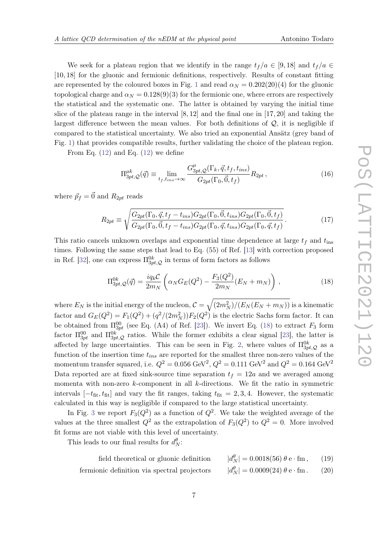We seek for a plateau region that we identify in the range  $t_f / a \in [9, 18]$  and  $t_f / a \in$ [10, 18] for the gluonic and fermionic definitions, respectively. Results of constant fitting are represented by the coloured boxes in Fig. [1](#page-5-2) and read  $\alpha_N = 0.202(20)(4)$  for the gluonic topological charge and  $\alpha_N = 0.128(9)(3)$  for the fermionic one, where errors are respectively the statistical and the systematic one. The latter is obtained by varying the initial time slice of the plateau range in the interval  $[8, 12]$  and the final one in  $[17, 20]$  and taking the largest difference between the mean values. For both definitions of  $Q$ , it is negligible if compared to the statistical uncertainty. We also tried an exponential Ansätz (grey band of Fig. [1\)](#page-5-2) that provides compatible results, further validating the choice of the plateau region.

From Eq.  $(12)$  and Eq.  $(12)$  we define

<span id="page-6-1"></span>
$$
\Pi_{3pt,\mathcal{Q}}^{\mu k}(\vec{q}) \equiv \lim_{t_f, t_{ins} \to \infty} \frac{G_{3pt,\mathcal{Q}}^{\mu}(\Gamma_k, \vec{q}, t_f, t_{ins})}{G_{2pt}(\Gamma_0, \vec{0}, t_f)} R_{2pt} ,
$$
\n(16)

where  $\vec{p}_f = \vec{0}$  and  $R_{2pt}$  reads

$$
R_{2pt} \equiv \sqrt{\frac{G_{2pt}(\Gamma_0, \vec{q}, t_f - t_{ins}) G_{2pt}(\Gamma_0, \vec{0}, t_{ins}) G_{2pt}(\Gamma_0, \vec{0}, t_f)}{G_{2pt}(\Gamma_0, \vec{0}, t_f - t_{ins}) G_{2pt}(\Gamma_0, \vec{q}, t_{ins}) G_{2pt}(\Gamma_0, \vec{q}, t_f)}}.
$$
(17)

This ratio cancels unknown overlaps and exponential time dependence at large  $t_f$  and  $t_{ins}$ times. Following the same steps that lead to Eq. (55) of Ref. [\[13\]](#page-10-7) with correction proposed in Ref. [\[32\]](#page-12-1), one can express  $\Pi_{3pt,\mathcal{Q}}^{0k}$  in terms of form factors as follows

<span id="page-6-0"></span>
$$
\Pi_{3pt,\mathcal{Q}}^{0k}(\vec{q}) = \frac{i q_k \mathcal{C}}{2m_N} \left( \alpha_N G_E(Q^2) - \frac{F_3(Q^2)}{2m_N} (E_N + m_N) \right),\tag{18}
$$

where  $E_N$  is the initial energy of the nucleon,  ${\cal C}=\sqrt{(2m_N^2)/(E_N(E_N+m_N))}$  is a kinematic factor and  $G_E(Q^2) = F_1(Q^2) + (q^2/(2m_N^2))F_2(Q^2)$  is the electric Sachs form factor. It can be obtained from  $\Pi_{3pt}^{00}$  (see Eq. (A4) of Ref. [\[23\]](#page-11-6)). We invert Eq. [\(18\)](#page-6-0) to extract  $F_3$  form factor  $\Pi_{3pt}^{00}$  and  $\Pi_{3pt,\mathcal{Q}}^{0k}$  ratios. While the former exhibits a clear signal [\[23\]](#page-11-6), the latter is affected by large uncertainties. This can be seen in Fig. [2,](#page-7-0) where values of  $\Pi^{0k}_{3pt,Q}$  as a function of the insertion time  $t_{ins}$  are reported for the smallest three non-zero values of the momentum transfer squared, i.e.  $Q^2 = 0.056 \text{ GeV}^2$ ,  $Q^2 = 0.111 \text{ GeV}^2$  and  $Q^2 = 0.164 \text{ GeV}^2$ Data reported are at fixed sink-source time separation  $t_f = 12a$  and we averaged among momenta with non-zero k-component in all k-directions. We fit the ratio in symmetric intervals  $[-t_{\text{fit}}, t_{\text{fit}}]$  and vary the fit ranges, taking  $t_{\text{fit}} = 2, 3, 4$ . However, the systematic calculated in this way is negligible if compared to the large statistical uncertainty.

In Fig. [3](#page-7-1) we report  $F_3(Q^2)$  as a function of  $Q^2$ . We take the weighted average of the values at the three smallest  $Q^2$  as the extrapolation of  $F_3(Q^2)$  to  $Q^2 = 0$ . More involved fit forms are not viable with this level of uncertainty.

This leads to our final results for  $d_N^{\theta}$ .

| field theoretical or gluonic definition      | $ d_N^{\theta}  = 0.0018(56) \theta$ e · fm, | (19) |
|----------------------------------------------|----------------------------------------------|------|
| fermionic definition via spectral projectors | $ d_N^{\theta}  = 0.0009(24) \theta$ e · fm. | (20) |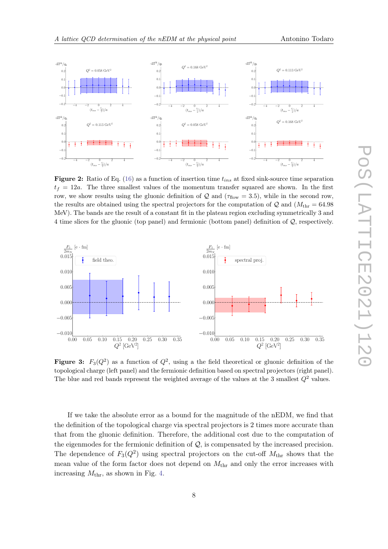<span id="page-7-0"></span>

**Figure 2:** Ratio of Eq. [\(16\)](#page-6-1) as a function of insertion time  $t_{ins}$  at fixed sink-source time separation  $t_f = 12a$ . The three smallest values of the momentum transfer squared are shown. In the first row, we show results using the gluonic definition of  $Q$  and  $(\tau_{flow} = 3.5)$ , while in the second row, the results are obtained using the spectral projectors for the computation of  $\mathcal{Q}$  and  $(M_{\text{thr}} = 64.98$ MeV). The bands are the result of a constant fit in the plateau region excluding symmetrically 3 and 4 time slices for the gluonic (top panel) and fermionic (bottom panel) definition of Q, respectively.

<span id="page-7-1"></span>

**Figure 3:**  $F_3(Q^2)$  as a function of  $Q^2$ , using a the field theoretical or gluonic definition of the topological charge (left panel) and the fermionic definition based on spectral projectors (right panel). The blue and red bands represent the weighted average of the values at the 3 smallest  $Q^2$  values.

If we take the absolute error as a bound for the magnitude of the nEDM, we find that the definition of the topological charge via spectral projectors is 2 times more accurate than that from the gluonic definition. Therefore, the additional cost due to the computation of the eigenmodes for the fermionic definition of  $Q$ , is compensated by the increased precision. The dependence of  $F_3(Q^2)$  using spectral projectors on the cut-off  $M_{\text{thr}}$  shows that the mean value of the form factor does not depend on  $M_{\text{thr}}$  and only the error increases with increasing  $M_{\text{thr}}$ , as shown in Fig. [4.](#page-8-0)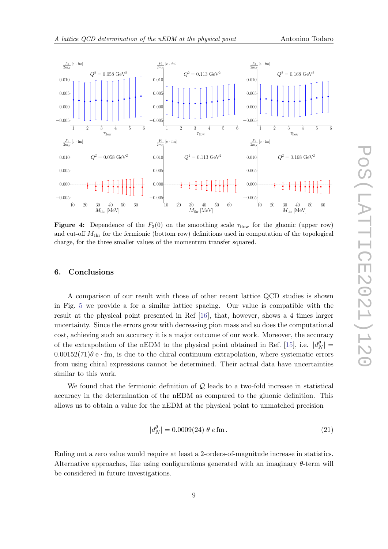<span id="page-8-0"></span>

Figure 4: Dependence of the  $F_3(0)$  on the smoothing scale  $\tau_{flow}$  for the gluonic (upper row) and cut-off  $M_{\text{thr}}$  for the fermionic (bottom row) definitions used in computation of the topological charge, for the three smaller values of the momentum transfer squared.

#### 6. Conclusions

A comparison of our result with those of other recent lattice QCD studies is shown in Fig. [5](#page-9-2) we provide a for a similar lattice spacing. Our value is compatible with the result at the physical point presented in Ref [\[16\]](#page-10-2), that, however, shows a 4 times larger uncertainty. Since the errors grow with decreasing pion mass and so does the computational cost, achieving such an accuracy it is a major outcome of our work. Moreover, the accuracy of the extrapolation of the nEDM to the physical point obtained in Ref. [\[15\]](#page-10-8), i.e.  $|d_N^{\theta}| =$  $0.00152(71)$ θ e · fm, is due to the chiral continuum extrapolation, where systematic errors from using chiral expressions cannot be determined. Their actual data have uncertainties similar to this work.

We found that the fermionic definition of  $\mathcal{Q}$  leads to a two-fold increase in statistical accuracy in the determination of the nEDM as compared to the gluonic definition. This allows us to obtain a value for the nEDM at the physical point to unmatched precision

$$
|d_N^{\theta}| = 0.0009(24) \ \theta \ e \, \text{fm} \,. \tag{21}
$$

Ruling out a zero value would require at least a 2-orders-of-magnitude increase in statistics. Alternative approaches, like using configurations generated with an imaginary  $\theta$ -term will be considered in future investigations.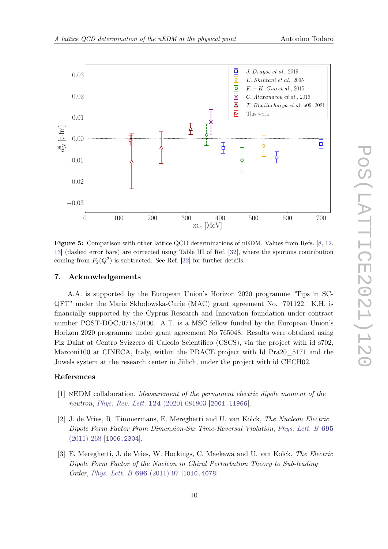<span id="page-9-2"></span>

Figure 5: Comparison with other lattice QCD determinations of nEDM. Values from Refs. [\[8,](#page-10-3) [12,](#page-10-9) [13\]](#page-10-7) (dashed error bars) are corrected using Table III of Ref. [\[32\]](#page-12-1), where the spurious contribution coming from  $F_2(Q^2)$  is subtracted. See Ref. [\[32\]](#page-12-1) for further details.

#### 7. Acknowledgements

A.A. is supported by the European Union's Horizon 2020 programme "Tips in SC-QFT" under the Marie Skłodowska-Curie (MAC) grant agreement No. 791122. K.H. is financially supported by the Cyprus Research and Innovation foundation under contract number POST-DOC/0718/0100. A.T. is a MSC fellow funded by the European Union's Horizon 2020 programme under grant agreement No 765048. Results were obtained using Piz Daint at Centro Svizzero di Calcolo Scientifico (CSCS), via the project with id s702, Marconi100 at CINECA, Italy, within the PRACE project with Id Pra20\_5171 and the Juwels system at the research center in Jülich, under the project with id CHCH02.

### References

- <span id="page-9-0"></span>[1] nEDM collaboration, Measurement of the permanent electric dipole moment of the neutron, [Phys. Rev. Lett.](https://doi.org/10.1103/PhysRevLett.124.081803) **124** (2020) 081803 [[2001.11966](https://arxiv.org/abs/2001.11966)].
- <span id="page-9-1"></span>[2] J. de Vries, R. Timmermans, E. Mereghetti and U. van Kolck, The Nucleon Electric Dipole Form Factor From Dimension-Six Time-Reversal Violation, [Phys. Lett. B](https://doi.org/10.1016/j.physletb.2010.11.042) 695 [\(2011\) 268](https://doi.org/10.1016/j.physletb.2010.11.042) [[1006.2304](https://arxiv.org/abs/1006.2304)].
- [3] E. Mereghetti, J. de Vries, W. Hockings, C. Maekawa and U. van Kolck, The Electric Dipole Form Factor of the Nucleon in Chiral Perturbation Theory to Sub-leading Order, [Phys. Lett. B](https://doi.org/10.1016/j.physletb.2010.12.018) 696 (2011) 97 [[1010.4078](https://arxiv.org/abs/1010.4078)].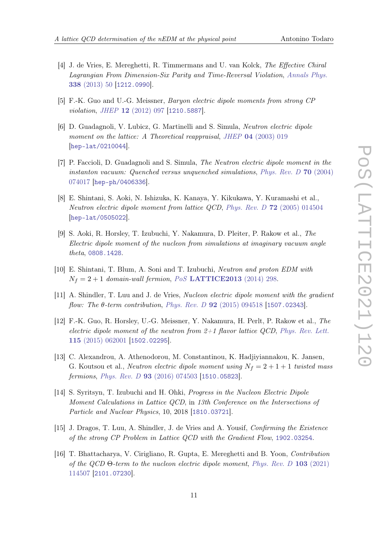- 
- [4] J. de Vries, E. Mereghetti, R. Timmermans and U. van Kolck, The Effective Chiral Lagrangian From Dimension-Six Parity and Time-Reversal Violation, [Annals Phys.](https://doi.org/10.1016/j.aop.2013.05.022) 338 [\(2013\) 50](https://doi.org/10.1016/j.aop.2013.05.022) [[1212.0990](https://arxiv.org/abs/1212.0990)].
- <span id="page-10-0"></span>[5] F.-K. Guo and U.-G. Meissner, Baryon electric dipole moments from strong CP violation, JHEP 12 [\(2012\) 097](https://doi.org/10.1007/JHEP12(2012)097) [[1210.5887](https://arxiv.org/abs/1210.5887)].
- <span id="page-10-1"></span>[6] D. Guadagnoli, V. Lubicz, G. Martinelli and S. Simula, Neutron electric dipole moment on the lattice: A Theoretical reappraisal, JHEP 04 [\(2003\) 019](https://doi.org/10.1088/1126-6708/2003/04/019) [[hep-lat/0210044](https://arxiv.org/abs/hep-lat/0210044)].
- [7] P. Faccioli, D. Guadagnoli and S. Simula, The Neutron electric dipole moment in the instanton vacuum: Quenched versus unquenched simulations, [Phys. Rev. D](https://doi.org/10.1103/PhysRevD.70.074017) 70 (2004) [074017](https://doi.org/10.1103/PhysRevD.70.074017) [[hep-ph/0406336](https://arxiv.org/abs/hep-ph/0406336)].
- <span id="page-10-3"></span>[8] E. Shintani, S. Aoki, N. Ishizuka, K. Kanaya, Y. Kikukawa, Y. Kuramashi et al., Neutron electric dipole moment from lattice QCD, Phys. Rev. D 72 [\(2005\) 014504](https://doi.org/10.1103/PhysRevD.72.014504) [[hep-lat/0505022](https://arxiv.org/abs/hep-lat/0505022)].
- [9] S. Aoki, R. Horsley, T. Izubuchi, Y. Nakamura, D. Pleiter, P. Rakow et al., The Electric dipole moment of the nucleon from simulations at imaginary vacuum angle theta, [0808.1428](https://arxiv.org/abs/0808.1428).
- <span id="page-10-4"></span>[10] E. Shintani, T. Blum, A. Soni and T. Izubuchi, Neutron and proton EDM with  $N_f = 2 + 1$  domain-wall fermion, PoS [LATTICE2013](https://doi.org/10.22323/1.187.0298) (2014) 298.
- <span id="page-10-5"></span>[11] A. Shindler, T. Luu and J. de Vries, Nucleon electric dipole moment with the gradient flow: The  $\theta$ -term contribution, Phys. Rev. D **92** [\(2015\) 094518](https://doi.org/10.1103/PhysRevD.92.094518) [[1507.02343](https://arxiv.org/abs/1507.02343)].
- <span id="page-10-9"></span>[12] F.-K. Guo, R. Horsley, U.-G. Meissner, Y. Nakamura, H. Perlt, P. Rakow et al., The electric dipole moment of the neutron from  $2+1$  flavor lattice QCD, [Phys. Rev. Lett.](https://doi.org/10.1103/PhysRevLett.115.062001) 115 [\(2015\) 062001](https://doi.org/10.1103/PhysRevLett.115.062001) [[1502.02295](https://arxiv.org/abs/1502.02295)].
- <span id="page-10-7"></span>[13] C. Alexandrou, A. Athenodorou, M. Constantinou, K. Hadjiyiannakou, K. Jansen, G. Koutsou et al., *Neutron electric dipole moment using*  $N_f = 2 + 1 + 1$  *twisted mass* fermions, Phys. Rev. D 93 [\(2016\) 074503](https://doi.org/10.1103/PhysRevD.93.074503) [[1510.05823](https://arxiv.org/abs/1510.05823)].
- <span id="page-10-6"></span>[14] S. Syritsyn, T. Izubuchi and H. Ohki, Progress in the Nucleon Electric Dipole Moment Calculations in Lattice QCD, in 13th Conference on the Intersections of Particle and Nuclear Physics, 10, 2018 [[1810.03721](https://arxiv.org/abs/1810.03721)].
- <span id="page-10-8"></span>[15] J. Dragos, T. Luu, A. Shindler, J. de Vries and A. Yousif, Confirming the Existence of the strong CP Problem in Lattice QCD with the Gradient Flow, [1902.03254](https://arxiv.org/abs/1902.03254).
- <span id="page-10-2"></span>[16] T. Bhattacharya, V. Cirigliano, R. Gupta, E. Mereghetti and B. Yoon, Contribution of the QCD Θ-term to the nucleon electric dipole moment, [Phys. Rev. D](https://doi.org/10.1103/PhysRevD.103.114507) 103 (2021) [114507](https://doi.org/10.1103/PhysRevD.103.114507) [[2101.07230](https://arxiv.org/abs/2101.07230)].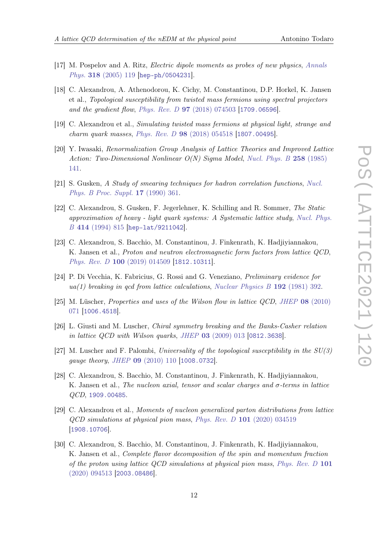- <span id="page-11-0"></span>[17] M. Pospelov and A. Ritz, Electric dipole moments as probes of new physics, [Annals](https://doi.org/10.1016/j.aop.2005.04.002) Phys. 318 [\(2005\) 119](https://doi.org/10.1016/j.aop.2005.04.002) [[hep-ph/0504231](https://arxiv.org/abs/hep-ph/0504231)].
- <span id="page-11-1"></span>[18] C. Alexandrou, A. Athenodorou, K. Cichy, M. Constantinou, D.P. Horkel, K. Jansen et al., Topological susceptibility from twisted mass fermions using spectral projectors and the gradient flow, Phys. Rev. D 97 [\(2018\) 074503](https://doi.org/10.1103/PhysRevD.97.074503) [[1709.06596](https://arxiv.org/abs/1709.06596)].
- <span id="page-11-2"></span>[19] C. Alexandrou et al., Simulating twisted mass fermions at physical light, strange and charm quark masses, Phys. Rev. D 98 [\(2018\) 054518](https://doi.org/10.1103/PhysRevD.98.054518) [[1807.00495](https://arxiv.org/abs/1807.00495)].
- <span id="page-11-3"></span>[20] Y. Iwasaki, Renormalization Group Analysis of Lattice Theories and Improved Lattice Action: Two-Dimensional Nonlinear O(N) Sigma Model, [Nucl. Phys. B](https://doi.org/10.1016/0550-3213(85)90606-6) 258 (1985) [141.](https://doi.org/10.1016/0550-3213(85)90606-6)
- <span id="page-11-4"></span>[21] S. Gusken, A Study of smearing techniques for hadron correlation functions, [Nucl.](https://doi.org/10.1016/0920-5632(90)90273-W) [Phys. B Proc. Suppl.](https://doi.org/10.1016/0920-5632(90)90273-W) 17 (1990) 361.
- <span id="page-11-5"></span>[22] C. Alexandrou, S. Gusken, F. Jegerlehner, K. Schilling and R. Sommer, The Static approximation of heavy - light quark systems: A Systematic lattice study, [Nucl. Phys.](https://doi.org/10.1016/0550-3213(94)90262-3) B 414 [\(1994\) 815](https://doi.org/10.1016/0550-3213(94)90262-3) [[hep-lat/9211042](https://arxiv.org/abs/hep-lat/9211042)].
- <span id="page-11-6"></span>[23] C. Alexandrou, S. Bacchio, M. Constantinou, J. Finkenrath, K. Hadjiyiannakou, K. Jansen et al., Proton and neutron electromagnetic form factors from lattice QCD, Phys. Rev. D 100 [\(2019\) 014509](https://doi.org/10.1103/PhysRevD.100.014509) [[1812.10311](https://arxiv.org/abs/1812.10311)].
- <span id="page-11-7"></span>[24] P. Di Vecchia, K. Fabricius, G. Rossi and G. Veneziano, Preliminary evidence for  $ua(1)$  breaking in qcd from lattice calculations, [Nuclear Physics B](https://doi.org/https://doi.org/10.1016/0550-3213(81)90432-6) 192 (1981) 392.
- <span id="page-11-8"></span>[25] M. Lüscher, Properties and uses of the Wilson flow in lattice QCD, JHEP 08 [\(2010\)](https://doi.org/10.1007/JHEP08(2010)071) [071](https://doi.org/10.1007/JHEP08(2010)071) [[1006.4518](https://arxiv.org/abs/1006.4518)].
- <span id="page-11-9"></span>[26] L. Giusti and M. Luscher, Chiral symmetry breaking and the Banks-Casher relation in lattice QCD with Wilson quarks, JHEP 03 [\(2009\) 013](https://doi.org/10.1088/1126-6708/2009/03/013) [[0812.3638](https://arxiv.org/abs/0812.3638)].
- <span id="page-11-10"></span>[27] M. Luscher and F. Palombi, Universality of the topological susceptibility in the  $SU(3)$ gauge theory, JHEP 09 [\(2010\) 110](https://doi.org/10.1007/JHEP09(2010)110) [[1008.0732](https://arxiv.org/abs/1008.0732)].
- <span id="page-11-11"></span>[28] C. Alexandrou, S. Bacchio, M. Constantinou, J. Finkenrath, K. Hadjiyiannakou, K. Jansen et al., The nucleon axial, tensor and scalar charges and  $\sigma$ -terms in lattice QCD, [1909.00485](https://arxiv.org/abs/1909.00485).
- [29] C. Alexandrou et al., Moments of nucleon generalized parton distributions from lattice QCD simulations at physical pion mass, Phys. Rev. D 101 [\(2020\) 034519](https://doi.org/10.1103/PhysRevD.101.034519) [[1908.10706](https://arxiv.org/abs/1908.10706)].
- <span id="page-11-12"></span>[30] C. Alexandrou, S. Bacchio, M. Constantinou, J. Finkenrath, K. Hadjiyiannakou, K. Jansen et al., Complete flavor decomposition of the spin and momentum fraction of the proton using lattice QCD simulations at physical pion mass, [Phys. Rev. D](https://doi.org/10.1103/PhysRevD.101.094513) 101 [\(2020\) 094513](https://doi.org/10.1103/PhysRevD.101.094513) [[2003.08486](https://arxiv.org/abs/2003.08486)].